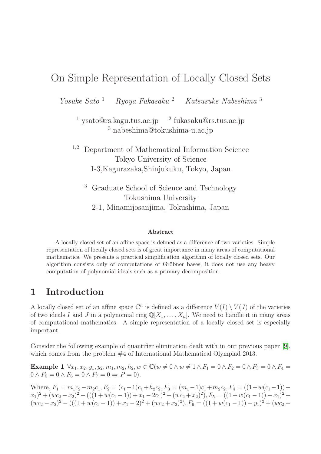## On Simple Representation of Locally Closed Sets

Yosuke Sato <sup>1</sup> Ryoya Fukasaku <sup>2</sup> Katsusuke Nabeshima <sup>3</sup>

 $\frac{1}{2}$  ysato@rs.kagu.tus.ac.jp  $\frac{2}{2}$  fukasaku@rs.tus.ac.jp <sup>3</sup> nabeshima@tokushima-u.ac.jp

<sup>1</sup>,<sup>2</sup> Department of Mathematical Information Science Tokyo University of Science 1-3,Kagurazaka,Shinjukuku, Tokyo, Japan

<sup>3</sup> Graduate School of Science and Technology Tokushima University 2-1, Minamijosanjima, Tokushima, Japan

#### Abstract

A locally closed set of an affine space is defined as a difference of two varieties. Simple representation of locally closed sets is of great importance in many areas of computational mathematics. We presents a practical simplification algorithm of locally closed sets. Our algorithm consists only of computations of Gröbner bases, it does not use any heavy computation of polynomial ideals such as a primary decomposition.

## 1 Introduction

A locally closed set of an affine space  $\mathbb{C}^n$  is defined as a difference  $V(I) \setminus V(J)$  of the varieties of two ideals I and J in a polynomial ring  $\mathbb{Q}[X_1, \ldots, X_n]$ . We need to handle it in many areas of computational mathematics. A simple representation of a locally closed set is especially important.

Consider the following example of quantifier elimination dealt with in our previous paper [\[9\]](#page-9-0), which comes from the problem  $#4$  of International Mathematical Olympiad 2013.

Example 1  $\forall x_1, x_2, y_1, y_2, m_1, m_2, h_2, w \in \mathbb{C} (w \neq 0 \land w \neq 1 \land F_1 = 0 \land F_2 = 0 \land F_3 = 0 \land F_4 = 0$  $0 \wedge F_5 = 0 \wedge F_6 = 0 \wedge F_7 = 0 \Rightarrow P = 0$ .

Where,  $F_1 = m_1c_2 - m_2c_1$ ,  $F_2 = (c_1 - 1)c_1 + h_2c_2$ ,  $F_3 = (m_1 - 1)c_1 + m_2c_2$ ,  $F_4 = ((1 + w(c_1 - 1)) (x_1)^2 + (wc_2 - x_2)^2 - (((1 + w(c_1 - 1)) + x_1 - 2c_1)^2 + (wc_2 + x_2)^2), F_5 = ((1 + w(c_1 - 1)) - x_1)^2 +$  $(wc_2 - x_2)^2 - (((1 + w(c_1 - 1)) + x_1 - 2)^2 + (wc_2 + x_2)^2), F_6 = ((1 + w(c_1 - 1)) - y_1)^2 + (wc_2 - w_2)^2)$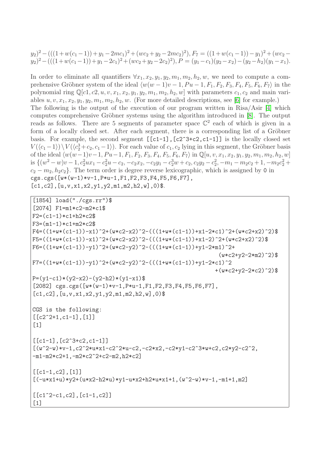$$
y_2)^2 - (((1 + w(c_1 - 1)) + y_1 - 2mc_1)^2 + (wc_2 + y_2 - 2mc_2)^2), F_7 = ((1 + w(c_1 - 1)) - y_1)^2 + (wc_2 - y_2)^2 - (((1 + w(c_1 - 1)) + y_1 - 2c_1)^2 + (wc_2 + y_2 - 2c_2)^2), P = (y_1 - c_1)(y_2 - x_2) - (y_2 - h_2)(y_1 - x_1).
$$

In order to eliminate all quantifiers  $\forall x_1, x_2, y_1, y_2, m_1, m_2, h_2, w$ , we need to compute a comprehensive Gröbner system of the ideal  $\langle w(w - 1)v - 1, Pu - 1, F_1, F_2, F_3, F_4, F_5, F_6, F_7 \rangle$  in the polynomial ring  $\mathbb{Q}[c_1, c_2, u, v, x_1, x_2, y_1, y_2, m_1, m_2, h_2, w]$  with parameters  $c_1, c_2$  and main variables  $u, v, x_1, x_2, y_1, y_2, m_1, m_2, h_2, w$ . (For more detailed descriptions, see [\[6\]](#page-9-1) for example.) The following is the output of the execution of our program written in Risa/Asir [\[4\]](#page-9-2) which computes comprehensive Gröbner systems using the algorithm introduced in [\[8\]](#page-9-3). The output reads as follows. There are 5 segments of parameter space  $\mathbb{C}^2$  each of which is given in a form of a locally closed set. After each segment, there is a corresponding list of a Gröbner basis. For example, the second segment  $[[c1-1]$ ,  $[c2^3+c2,c1-1]]$  is the locally closed set  $V(\langle c_1-1\rangle)\backslash V(\langle c_2^3+c_2, c_1-1\rangle)$ . For each value of  $c_1, c_2$  lying in this segment, the Gröbner basis of the ideal  $\langle w(w-1)v-1, P u-1, F_1, F_2, F_3, F_4, F_5, F_6, F_7 \rangle$  in  $\mathbb{Q}[u, v, x_1, x_2, y_1, y_2, m_1, m_2, h_2, w]$ is  $\{(w^2 - w)v - 1, c_2^2ux_1 - c_2^2u - c_2, -c_2x_2, -c_2y_1 - c_2^3w + c_2, c_2y_2 - c_2^2, -m_1 - m_2c_2 + 1, -m_2c_2^2 +$  $c_2 - m_2, h_2c_2$ . The term order is degree reverse lexicographic, which is assigned by 0 in  $cgs.cgs([w*(w-1)*v-1,P*u-1,F1,F2,F3,F4,F5,F6,F7],$  $[c1,c2], [u,v,x1,x2,y1,y2,m1,m2,h2,w], 0$ \$.

```
[1854] load("./cgs.rr")$
[2074] F1=m1*c2-m2*c1$
F2=(c1-1)*c1+h2*c2$F3=(m1-1)*c1+m2*c2$F4=((1+w*(c1-1))-x1)^2+(w*c2-x2)^2-(((1+w*(c1-1))+x1-2*c1)^2+(w*c2+x2)^2)F5=((1+w*(c1-1))-x1)^2+(w*c2-x2)^2-(((1+w*(c1-1))+x1-2)^2+(w*c2+x2)^2)F6=((1+w*(c1-1))-y1)^2+(w*c2-y2)^2-(((1+w*(c1-1))+y1-2*m1)^2+(w*c2+y2-2*m2)^2)$
F7=((1+w*(c1-1))-y1)^2+(w*c2-y2)^2-(((1+w*(c1-1))+y1-2*c1)^2)+(w*c2+v2-2*c2)^2P=(y1-c1)*(y2-x2)-(y2-h2)*(y1-x1)$
[2082] \text{ cgs.cgs}([w*(w-1)*v-1,P*u-1,F1,F2,F3,F4,F5,F6,F7],[c1,c2], [u,v,x1,x2,y1,y2,m1,m2,h2,w], 0$
CGS is the following:
[ [c2^2+1,c1-1],[1]]
[1]
[ [c1-1], [c2^3+c2,c1-1]][(w^2-w)*v-1,c^2*u*x1-c^2*u-c2,-c2*x2,-c2*y1-c2^3*w+c2,c2*y2-c2^2,-m1-m2*c2+1,-m2*c2^2+c2-m2,h2*c2]
[[c1-1,c2],[1]]
[(-u*x1+u)*y2+(u*x2-h2*u)*y1-u*x2+h2*u*x1+1,(w^2-w)*v-1,-m1+1,m2][ [c1^2-c1,c2], [c1-1,c2]][1]
```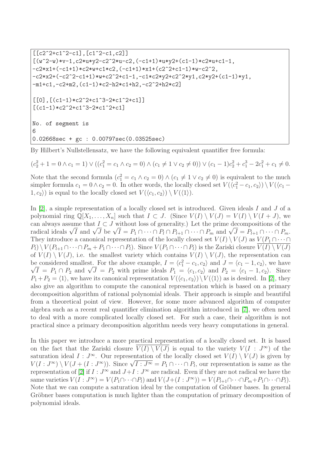```
[ [c2^2+c1^2-c1], [c1^2-c1,c2]][(w^2-w)*v-1,c2*u*y2-c2^2*u-c2,(-c1+1)*u*y2+(c1-1)*c2*u+c1-1,-c2*x1+(-c1+1)*c2*w+c1*c2,(-c1+1)*x1+(c2^2+c1-1)*w-c2^2,
-c2*x2+(-c2^2-c1+1)*w+c2^2+c1-1,-c1*c2*y2+c2^2*y1,c2*y2+(c1-1)*y1,
-m1+c1,-c2+m2,(c1-1)*c2-h2*c1+h2,-c2^2+h2*c2]
[0],[(c1-1)*c2^2+c1^3-2*c1^2+c1][(c1-1)*c2^2+c1^3-2*c1^2+c1]No. of segment is
6
0.02668sec + gc : 0.00797sec(0.03525sec)
```
By Hilbert's Nullstellensatz, we have the following equivalent quantifier free formula:

$$
(c_2^2 + 1 = 0 \land c_1 = 1) \lor ((c_1^2 = c_1 \land c_2 = 0) \land (c_1 \neq 1 \lor c_2 \neq 0)) \lor (c_1 - 1)c_2^2 + c_1^3 - 2c_1^2 + c_1 \neq 0.
$$

Note that the second formula  $(c_1^2 = c_1 \wedge c_2 = 0) \wedge (c_1 \neq 1 \vee c_2 \neq 0)$  is equivalent to the much simpler formula  $c_1 = 0 \wedge c_2 = 0$ . In other words, the locally closed set  $V(\langle c_1^2 - c_1, c_2 \rangle) \setminus V(\langle c_1 - c_2 \rangle)$  $(1, c_2)$  is equal to the locally closed set  $V(\langle c_1, c_2 \rangle) \setminus V(\langle 1 \rangle)$ .

In [\[2\]](#page-9-4), a simple representation of a locally closed set is introduced. Given ideals I and J of a polynomial ring  $\mathbb{Q}[X_1,\ldots,X_n]$  such that  $I \subset J$ . (Since  $V(I) \setminus V(J) = V(I) \setminus V(I + J)$ , we can always assume that  $I \subset J$  without loss of generality.) Let the prime decompositions of the radical ideals  $\sqrt{I}$  and  $\sqrt{J}$  be  $\sqrt{I} = P_1 \cap \cdots \cap P_l \cap P_{l+1} \cap \cdots \cap P_m$  and  $\sqrt{J} = P_{l+1} \cap \cdots \cap P_m$ . They introduce a canonical representation of the locally closed set  $V(I) \setminus V(J)$  as  $V(P_1 \cap \cdots \cap$  $P_l$ )  $\vee$   $V(P_{l+1} \cap \cdots \cap P_m + P_1 \cap \cdots \cap P_l)$ . Since  $V(P_1 \cap \cdots \cap P_l)$  is the Zariski closure  $V(I) \vee V(J)$ of  $V(I) \setminus V(J)$ , i.e. the smallest variety which contains  $V(I) \setminus V(J)$ , the representation can be considered smallest. For the above example,  $I = \langle c_1^2 - c_1, c_2 \rangle$  and  $J = \langle c_1 - 1, c_2 \rangle$ , we have  $\sqrt{I} = P_1 \cap P_2$  and  $\sqrt{J} = P_2$  with prime ideals  $P_1 = \langle c_1, c_2 \rangle$  and  $P_2 = \langle c_1 - 1, c_2 \rangle$ . Since  $P_1 + P_2 = \langle 1 \rangle$ , we have its canonical representation  $V(\langle c_1, c_2 \rangle) \setminus V(\langle 1 \rangle)$  as is desired. In [\[2\]](#page-9-4), they also give an algorithm to compute the canonical representation which is based on a primary decomposition algorithm of rational polynomial ideals. Their approach is simple and beautiful from a theoretical point of view. However, for some more advanced algorithm of computer algebra such as a recent real quantifier elimination algorithm introduced in [\[7\]](#page-9-5), we often need to deal with a more complicated locally closed set. For such a case, their algorithm is not practical since a primary decomposition algorithm needs very heavy computations in general.

In this paper we introduce a more practical representation of a locally closed set. It is based on the fact that the Zariski closure  $\overline{V(I) \setminus V(J)}$  is equal to the variety  $V(I : J^{\infty})$  of the saturation ideal  $I: J^{\infty}$ . Our representation of the locally closed set  $V(I) \setminus V(J)$  is given by  $V(I:J^{\infty}) \setminus V(J+(I:J^{\infty}))$ . Since  $\sqrt{I:J^{\infty}} = P_1 \cap \cdots \cap P_l$ , our representation is same as the representation of [\[2\]](#page-9-4) if  $I: J^{\infty}$  and  $J+I: J^{\infty}$  are radical. Even if they are not radical we have the same varieties  $V(I:J^{\infty})=V(P_1\cap \cdots \cap P_l)$  and  $V(J+(I:J^{\infty}))=V(P_{l+1}\cap \cdots \cap P_m+P_1\cap \cdots \cap P_l)$ . Note that we can compute a saturation ideal by the computation of Gröbner bases. In general Gröbner bases computation is much lighter than the computation of primary decomposition of polynomial ideals.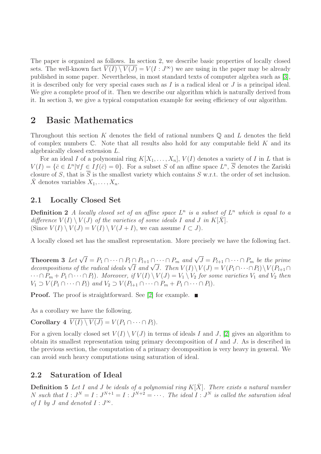The paper is organized as follows. In section 2, we describe basic properties of locally closed sets. The well-known fact  $\overline{V(I) \setminus V(J)} = V(I : J^{\infty})$  we are using in the paper may be already published in some paper. Nevertheless, in most standard texts of computer algebra such as [\[3\]](#page-9-6), it is described only for very special cases such as  $I$  is a radical ideal or  $J$  is a principal ideal. We give a complete proof of it. Then we describe our algorithm which is naturally derived from it. In section 3, we give a typical computation example for seeing efficiency of our algorithm.

## 2 Basic Mathematics

Throughout this section K denotes the field of rational numbers  $\mathbb Q$  and L denotes the field of complex numbers  $\mathbb C$ . Note that all results also hold for any computable field K and its algebraically closed extension L.

For an ideal I of a polynomial ring  $K[X_1, \ldots, X_n]$ ,  $V(I)$  denotes a variety of I in L that is  $V(I) = \{\bar{c} \in L^n | \forall f \in If(\bar{c}) = 0\}.$  For a subset S of an affine space  $L^n$ ,  $\overline{S}$  denotes the Zariski closure of S, that is  $\overline{S}$  is the smallest variety which contains S w.r.t. the order of set inclusion.  $\bar{X}$  denotes variables  $X_1, \ldots, X_n$ .

### 2.1 Locally Closed Set

**Definition 2** A locally closed set of an affine space  $L^n$  is a subset of  $L^n$  which is equal to a difference  $V(I) \setminus V(J)$  of the varieties of some ideals I and J in K[X]. (Since  $V(I) \setminus V(J) = V(I) \setminus V(J + I)$ , we can assume  $I \subset J$ ).

A locally closed set has the smallest representation. More precisely we have the following fact.

**Theorem 3** Let  $\sqrt{I} = P_1 \cap \cdots \cap P_l \cap P_{l+1} \cap \cdots \cap P_m$  and  $\sqrt{J} = P_{l+1} \cap \cdots \cap P_m$  be the prime decompositions of the radical ideals  $\sqrt{I}$  and  $\sqrt{J}$ . Then  $V(I)\setminus V(J) = V(P_1 \cap \cdots \cap P_l)\setminus V(P_{l+1} \cap$  $\cdots \cap P_m + P_1 \cap \cdots \cap P_l$ ). Moreover, if  $V(I) \setminus V(J) = V_1 \setminus V_2$  for some varieties  $V_1$  and  $V_2$  then  $V_1 \supset V(P_1 \cap \cdots \cap P_l)$  and  $V_2 \supset V(P_{l+1} \cap \cdots \cap P_m + P_1 \cap \cdots \cap P_l)$ .

**Proof.** The proof is straightforward. See [\[2\]](#page-9-4) for example.  $\blacksquare$ 

As a corollary we have the following.

Corollary 4  $\overline{V(I) \setminus V(J)} = V(P_1 \cap \cdots \cap P_l).$ 

For a given locally closed set  $V(I) \setminus V(J)$  in terms of ideals I and J, [\[2\]](#page-9-4) gives an algorithm to obtain its smallest representation using primary decomposition of I and J. As is described in the previous section, the computation of a primary decomposition is very heavy in general. We can avoid such heavy computations using saturation of ideal.

#### 2.2 Saturation of Ideal

**Definition 5** Let I and J be ideals of a polynomial ring  $K[\bar{X}]$ . There exists a natural number N such that  $I: J^N = I: J^{N+1} = I: J^{N+2} = \cdots$ . The ideal  $I: J^N$  is called the saturation ideal of I by J and denoted  $I: J^{\infty}$ .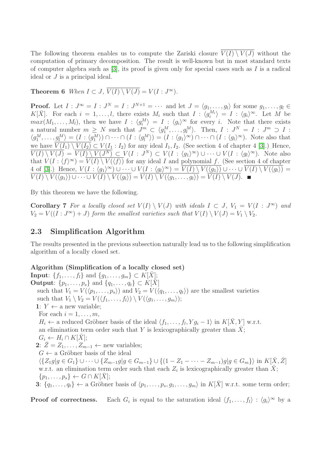The following theorem enables us to compute the Zariski closure  $\overline{V(I) \setminus V(J)}$  without the computation of primary decomposition. The result is well-known but in most standard texts of computer algebra such as  $[3]$ , its proof is given only for special cases such as I is a radical ideal or J is a principal ideal.

**Theorem 6** When  $I \subset J$ ,  $\overline{V(I) \setminus V(J)} = V(I : J^{\infty})$ .

**Proof.** Let  $I: J^{\infty} = I: J^N = I: J^{N+1} = \cdots$  and let  $J = \langle g_1, \ldots, g_l \rangle$  for some  $g_1, \ldots, g_l \in I$  $K[\bar{X}]$ . For each  $i = 1, \ldots, l$ , there exists  $M_i$  such that  $I : \langle g_i^{M_i} \rangle = I : \langle g_i \rangle^{\infty}$ . Let M be  $max(M_1, \ldots, M_l)$ , then we have  $I : \langle g_i^M \rangle = I : \langle g_i \rangle^{\infty}$  for every i. Note that there exists a natural number  $m \geq N$  such that  $J^m \subset \langle g_1^M \rangle$  $\{M_1, \ldots, g_l^M\}$ . Then,  $I : J^N = I : J^m \supset I$ :  $\langle g_1^M$  $\langle u_1^M, \ldots, \underline{g_l^M} \rangle = (I : \langle g_1^M \rangle)$  $\binom{M}{1} \cap \cdots \cap (I : \langle g_1^M \rangle) = (I : \langle g_1 \rangle^{\infty}) \cap \cdots \cap (I : \langle g_l \rangle^{\infty})$ . Note also that we have  $\overline{V(I_1) \setminus V(I_2)} \subset V(I_1 : I_2)$  for any ideal  $I_1, I_2$ . (See section 4 of chapter 4 [\[3\]](#page-9-6).) Hence,  $\overline{V(I)\setminus V(J)} = \overline{V(I)\setminus V(J^N)} \subset V(I:J^N) \subset V(I: \langle g_1\rangle^\infty) \cup \cdots \cup V(I: \langle g_l\rangle^\infty)$ . Note also that  $V(I: \langle f \rangle^{\infty}) = V(I) \setminus V(\langle f \rangle)$  for any ideal I and polynomial f. (See section 4 of chapter 4 of [\[3\]](#page-9-6).) Hence,  $V(I: \langle g_1 \rangle^{\infty}) \cup \cdots \cup V(I: \langle g_l \rangle^{\infty}) = \overline{V(I) \setminus V(\langle g_1 \rangle)} \cup \cdots \cup \overline{V(I) \setminus V(\langle g_l \rangle)} =$  $V(I) \setminus V(\langle g_1 \rangle) \cup \cdots \cup V(I) \setminus V(\langle g_l \rangle) = V(I) \setminus V(\langle g_1, \ldots, g_l \rangle) = V(I) \setminus V(J).$ 

By this theorem we have the following.

Corollary 7 For a locally closed set  $V(I) \setminus V(J)$  with ideals  $I \subset J$ ,  $V_1 = V(I : J^{\infty})$  and  $V_2 = V((I:J^{\infty}) + J)$  form the smallest varieties such that  $V(I) \setminus V(J) = V_1 \setminus V_2$ .

## 2.3 Simplification Algorithm

The results presented in the previous subsection naturally lead us to the following simplification algorithm of a locally closed set.

#### Algorithm (Simplification of a locally closed set)

**Input:**  $\{f_1, \ldots, f_l\}$  and  $\{g_1, \ldots, g_m\} \subset K[\overline{X}];$ **Output**:  $\{p_1, \ldots, p_s\}$  and  $\{q_1, \ldots, q_t\} \subset K[X]$ such that  $V_1 = V(\langle p_1, \ldots, p_s \rangle)$  and  $V_2 = V(\langle q_1, \ldots, q_t \rangle)$  are the smallest varieties such that  $V_1 \setminus V_2 = V(\langle f_1, \ldots, f_l \rangle) \setminus V(\langle g_1, \ldots, g_m \rangle);$ 1:  $Y \leftarrow$  a new variable; For each  $i = 1, \ldots, m$ ,  $H_i \leftarrow$  a reduced Gröbner basis of the ideal  $\langle f_1, \ldots, f_l, Y g_i - 1 \rangle$  in  $K[\bar{X}, Y]$  w.r.t. an elimination term order such that Y is lexicographically greater than  $X$ ;  $G_i \leftarrow H_i \cap K[X];$ 2:  $\bar{Z} = Z_1, \ldots, Z_{m-1} \leftarrow$  new variables;  $G \leftarrow$  a Gröbner basis of the ideal  $\langle \{Z_1g | g \in G_1\} \cup \cdots \cup \{Z_{m-1}g | g \in G_{m-1}\} \cup \{(1 - Z_1 - \cdots - Z_{m-1})g | g \in G_m\}\rangle$  in  $K[\bar{X}, \bar{Z}]$ w.r.t. an elimination term order such that each  $Z_i$  is lexicographically greater than  $\bar{X}$ ;  $\{p_1, \ldots, p_s\} \leftarrow G \cap K[\overline{X}];$ 3:  $\{q_1, \ldots, q_t\} \leftarrow$  a Gröbner basis of  $\langle p_1, \ldots, p_s, g_1, \ldots, g_m \rangle$  in  $K[\overline{X}]$  w.r.t. some term order;

Proof of correctness. is equal to the saturation ideal  $\langle f_1, \ldots, f_l \rangle : \langle g_i \rangle^{\infty}$  by a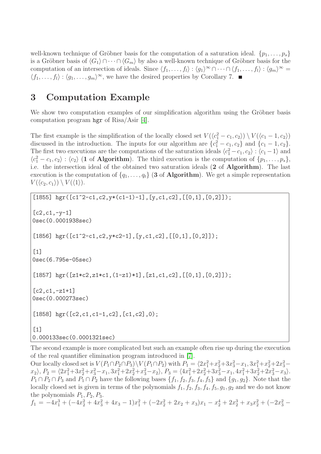well-known technique of Gröbner basis for the computation of a saturation ideal.  $\{p_1, \ldots, p_s\}$ is a Gröbner basis of  $\langle G_1 \rangle \cap \cdots \cap \langle G_m \rangle$  by also a well-known technique of Gröbner basis for the computation of an intersection of ideals. Since  $\langle f_1, \ldots, f_l \rangle : \langle g_1 \rangle^{\infty} \cap \cdots \cap \langle f_1, \ldots, f_l \rangle : \langle g_m \rangle^{\infty} =$  $\langle f_1, \ldots, f_l \rangle : \langle g_1, \ldots, g_m \rangle^{\infty}$ , we have the desired properties by Corollary 7.

## 3 Computation Example

We show two computation examples of our simplification algorithm using the Gröbner basis computation program hgr of Risa/Asir [\[4\]](#page-9-2).

The first example is the simplification of the locally closed set  $V(\langle c_1^2 - c_1, c_2 \rangle) \setminus V(\langle c_1 - 1, c_2 \rangle)$ discussed in the introduction. The inputs for our algorithm are  $\{c_1^2 - c_1, c_2\}$  and  $\{c_1 - 1, c_2\}$ . The first two executions are the computations of the saturation ideals  $\langle c_1^2 - c_1, c_2 \rangle : \langle c_1 - 1 \rangle$  and  $\langle c_1^2 - c_1, c_2 \rangle : \langle c_2 \rangle$  (1 of Algorithm). The third execution is the computation of  $\{p_1, \ldots, p_s\}$ , i.e. the intersection ideal of the obtained two saturation ideals (2 of Algorithm). The last execution is the computation of  $\{q_1, \ldots, q_t\}$  (3 of Algorithm). We get a simple representation  $V(\langle c_2, c_1 \rangle) \setminus V(\langle 1 \rangle).$ 

```
[1855] hgr([c1^2-c1,c2,y*(c1-1)-1], [y,c1,c2], [[0,1], [0,2]]);
[c2,c1,-v-1]0sec(0.0001938sec)
[1856] hgr([c1^2-c1,c2,y*c2-1],[y, c1, c2],[(0,1], [0,2]]);
[1]
0sec(6.795e-05sec)
[1857] hgr([z1 * c2, z1 * c1, (1-z1) * 1], [z1, c1, c2], [0, 1], [0, 2]]);
[c2,c1,-z1+1]
0sec(0.000273sec)
[1858] hgr([c2,c1,c1-1,c2],[c1,c2],0);
[1]0.000133sec(0.0001321sec)
```
The second example is more complicated but such an example often rise up during the execution of the real quantifier elimination program introduced in [\[7\]](#page-9-5).

Our locally closed set is  $V(P_1 \cap P_2 \cap P_3) \setminus V(P_1 \cap P_2)$  with  $P_1 = \langle 2x_1^2 + x_2^2 + 3x_3^2 - x_1, 3x_1^2 + x_2^2 + 2x_3^2 - x_1, 3x_1^2 + x_2^2 + x_3^2 - x_1, 3x_1^2 + x_2^2 + x_3^2 - x_1, 3x_1^2 + x_2^2 + x_3^2 - x_1, 3x_1^2 + x_2^2 + x_3^2 - x_1, 3x_$  $x_2$ ,  $P_2 = \langle 2x_1^2 + 3x_2^2 + x_3^2 - x_1, 3x_1^2 + 2x_2^2 + x_3^2 - x_2 \rangle$ ,  $P_3 = \langle 4x_1^2 + 2x_2^2 + 3x_3^2 - x_1, 4x_1^2 + 3x_2^2 + 2x_3^2 - x_3 \rangle$ .  $P_1 \cap P_2 \cap P_3$  and  $P_1 \cap P_2$  have the following bases  $\{f_1, f_2, f_3, f_4, f_5\}$  and  $\{g_1, g_2\}$ . Note that the locally closed set is given in terms of the polynomials  $f_1$ ,  $f_2$ ,  $f_3$ ,  $f_4$ ,  $f_5$ ,  $g_1$ ,  $g_2$  and we do not know the polynomials  $P_1, P_2, P_3$ .  $f_1 = -4x_1^3 + (-4x_2^2 + 4x_3^2 + 4x_3 - 1)x_1^2 + (-2x_2^2 + 2x_2 + x_3)x_1 - x_2^4 + 2x_2^3 + x_3x_2^2 + (-2x_3^2 -$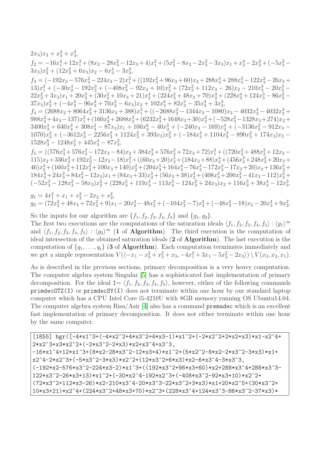$$
\begin{array}{l} 2x_3)x_2+x_3^4+x_3^3,\\ f_2=-16x_1^4+12x_1^3+(8x_2-28x_3^2-12x_3+4)x_1^2+(5x_2^2-8x_2-2x_3^2-3x_3)x_1+x_2^4-2x_2^3+(-5x_3^2-3x_3)x_2^2+(12x_3^2+6x_3)x_2-6x_3^4-3x_3^3,\\ f_3=(-192x_2-576x_3^2-224x_3-2)x_1^3+((192x_3^2+96x_3+60)x_2+288x_3^4+288x_3^3-122x_3^2-26x_3+13)x_1^2+(-30x_2^4-192x_2^3+(408x_3^2-92x_3+10)x_2^2+(72x_3^2+112x_3-26)x_2-210x_3^4-20x_3^3-22x_3^2+3x_3)x_1+20x_2^5+(30x_3^2+10x_3+21)x_2^4+(224x_3^2+48x_3+70)x_2^3+(228x_3^4+124x_3^3-86x_3^2-37x_3)x_2^2+(-4x_3^4-96x_3^3+70x_3^2-6x_3)x_2+102x_3^6+82x_3^5-35x_3^4+3x_3^3,\\ f_4=(2688x_2+8064x_3^2+3136x_3+388)x_1^3+((-2688x_3^2-1344x_3-1080)x_2-4032x_3^4-4032x_3^3+988x_3^2+4x_3-137)x_1^2+(160x_2^4+2688x_2^3+(6232x_3^2+1648x_3+30)x_2^2+(-528x_3^2-1328x_3+274)x_2+3400x_3^4+640x_3^3+308x_3^2-87x_3)x_1+100x_2^6-40x_2^5+(-240x_3-169)x_2^4+(-3
$$

 $g_1 = 4x_1^2 + x_1 + x_2^2 - 2x_2 + x_3^2,$  $g_2 = (72x_2^2 + 48x_2 + 72x_3^2 + 9)x_1 - 20x_2^4 - 48x_2^3 + (-104x_3^2 - 7)x_2^2 + (-48x_3^2 - 18)x_2 - 20x_3^4 + 9x_3^2$ 

So the inputs for our algorithm are  $\{f_1, f_2, f_3, f_4, f_5\}$  and  $\{g_1, g_2\}$ .

The first two executions are the computations of the saturation ideals  $\langle f_1, f_2, f_3, f_4, f_5 \rangle : \langle g_1 \rangle^{\infty}$ and  $\langle f_1, f_2, f_3, f_4, f_5 \rangle : \langle g_2 \rangle^{\infty}$  (1 of Algorithm). The third execution is the computation of ideal intersection of the obtained saturation ideals (2 of Algorithm). The last execution is the computation of  $\{q_1, \ldots, q_t\}$  (3 of Algorithm). Each computation terminates immediately and we get a simple representation  $V((-x_1 - x_2^2 + x_3^2 + x_3, -4x_1^2 + 3x_1 - 5x_3^2 - 2x_3)) \setminus V(x_3, x_2, x_1)$ .

As is described in the previous sections, primary decomposition is a very heavy computation. The computer algebra system Singular [\[5\]](#page-9-7) has a sophisticated fast implementation of primary decomposition. For the ideal  $I = \langle f_1, f_2, f_3, f_4, f_5 \rangle$ , however, either of the following commands primdecGTZ(I) or primdecSY(I) does not terminate within one hour by our standard laptop computer which has a CPU Intel Core i5-4210U with 8GB memory running OS Ubuntu14.04. The computer algebra system Risa/Asir [\[4\]](#page-9-2) also has a command premadec which is an excellent fast implementation of primary decomposition. It does not either terminate within one hour by the same computer.

```
[1855] hgr([-4*x1^3+(-4*x2^2+4*x3^2+4*x3-1)*x1^2+(-2*x2^2+2*x2+x3)*x1-x2^4+2*x2^3+x3*x2^2+(-2*x3^2-2*x3)*x2+x3^4+x3^3,
-16*x1^4+12*x1^3+(8*x2-28*x3^2-12*x3+4)*x1^2+(5*x2^2-8*x2-2*x3^2-3*x3)*x1+
x2^4-2*x2^3+(-5*x3^2-3*x3)*x2^2+(12*x3^2+6*x3)*x2-6*x3^4-3*x3^3,
(-192*x2-576*x3^2-224*x3-2)*x1^3+((192*x3^2+96*x3+60)*x2+288*x3^4+288*x3^3-
122*x3^2-26*x3+13)*x1^2+(-30*x2^4-192*x2^3+(-408*x3^2-92*x3+10)*x2^2+
(72*x3^2+112*x3-26)*x2-210*x3^4-20*x3^3-22*x3^2+3*x3)*x1+20*x2^5+(30*x3^2+
10*x3+21)*x2^4+(224*x3^2+48*x3+70)*x2^3+(228*x3^4+124*x3^3-86*x3^2-37*x3)*
```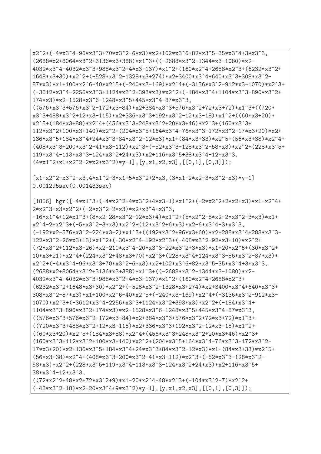```
x2^2+(-4*x3^4-96*x3^3+70*x3^2-6*x3)*x2+102*x3^6+82*x3^5-35*x3^4+3*x3^3,
(2688*x2+8064*x3^2+3136*x3+388)*x1^3+((-2688*x3^2-1344*x3-1080)*x2-
4032*x3^4-4032*x3^3+988*x3^2+4*x3-137)*x1^2+(160*x2^4+2688*x2^3+(6232*x3^2+
1648*x3+30)*x2^2+(-528*x3^2-1328*x3+274)*x2+3400*x3^4+640*x3^3+308*x3^2-
87*x3)*x1+100*x2^6-40*x2^5+(-240*x3-169)*x2^4+(-3136*x3^2-912*x3-1070)*x2^3+
(-3612*x3^4-2256*x3^3+1124*x3^2+393*x3)*x2^2+(-184*x3^4+1104*x3^3-890*x3^2+
174*x3)*x2-1528*x3^6-1248*x3^5+445*x3^4-87*x3^3,
((576*x3^3+576*x3^2-172*x3-84)*x2+384*x3^3+576*x3^2+72*x3+72)*x1^3+((720*
x3^3+488*x3^2+12*x3-115)*x2+336*x3^3+192*x3^2-12*x3-18)*x1^2+((60*x3+20)*
x2^5+(184*x3+88)*x2^4+(456*x3^3+248*x3^2+20*x3+46)*x2^3+(160*x3^3+
112*x3^2+100*x3+140)*x2^2+(204*x3^5+164*x3^4-76*x3^3-172*x3^2-17*x3+20)*x2+
136*x3^5+184*x3^4+24*x3^3+84*x3^2-12*x3)*x1+(84*x3+33)*x2^5+(56*x3+38)*x2^4+
(408*x3^3+200*x3^2-41*x3-112)*x2^3+(-52*x3^3-128*x3^2-58*x3)*x2^2+(228*x3^5+
119*x3^4-113*x3^3-124*x3^2+24*x3)*x2+116*x3^5+38*x3^4-12*x3^3,
(4*x1^2+x1+x2^2-2*x2+x3^2)*y-1, [y,x1,x2,x3], [[0,1],[0,3]]);
[x1+x2^2-x3^2-x3,4*x1^2-3*x1+5*x3^2+2*x3,(3*x1-2*x2-3*x3^2-x3)*y-1]0.001295sec(0.001433sec)
[1856] hgr([-4*x1^3+(4*x2^2+4*x3^2+4*x3-1)*x1^2+(-2*x2^2+2*x2+x3)*x1-x2^4+2*x2^3+x3*x2^2+(-2*x3^2-2*x3)*x2+x3^4+x3^3,
-16*x1^4+12*x1^3+ (8*x2-28*x3^2-12*x3+4)*x1^2+(5*x2^2-8*x2-2*x3^2-3*x3)*x1+x2^4-2*x2^3+(-5*x3^2-3*x3)*x2^2+(12*x3^2+6*x3)*x2-6*x3^4-3*x3^3,
(-192*x2-576*x3^2-224*x3-2)*x1^3+((192*x3^2+96*x3+60)*x2+288*x3^4+288*x3^3-
122*x3^2-26*x3+13)*x1^2+(-30*x2^4-192*x2^3+(-408*x3^2-92*x3+10)*x2^2+
(72*x3^2+112*x3-26)*x2-210*x3^4-20*x3^3-22*x3^2+3*x3)*x1+20*x2^5+(30*x3^2+
10*x3+21)*x2^4+(224*x3^2+48*x3+70)*x2^3+(228*x3^4+124*x3^3-86*x3^2-37*x3)*x2^2+(-4*x3^4-96*x3^3+70*x3^2-6*x3)*x2+102*x3^6+82*x3^5-35*x3^4+3*x3^3,(2688*x2+8064*x3^2+3136*x3+388)*x1^3+((-2688*x3^2-1344*x3-1080)*x2-
4032*x3^4-4032*x3^3+988*x3^2+4*x3-137)*x1^2+(160*x2^4+2688*x2^3+
(6232*x3^2+1648*x3+30)*x2^2+(-528*x3^2-1328*x3+274)*x2+3400*x3^4+640*x3^3+
308*x3^2-87*x3)*x1+100*x2^6-40*x2^5+(-240*x3-169)*x2^4+(-3136*x3^2-912*x3-
1070)*x2^3+(-3612*x3^4-2256*x3^3+1124*x3^2+393*x3)*x2^2+(-184*x3^4+
1104*x3^3-890*x3^2+174*x3)*x2-1528*x3^6-1248*x3^5+445*x3^4-87*x3^3,
((576*x3^3+576*x3^2-172*x3-84)*x2+384*x3^3+576*x3^2+72*x3+72)*x1^3+
((720*x3^3+488*x3^2+12*x3-115)*x2+336*x3^3+192*x3^2-12*x3-18)*x1^2+((60*x3+20)*x2^5+(184*x3+88)*x2^4+(456*x3^3+248*x3^2+20*x3+46)*x2^3+(160*x3^3+112*x3^2+100*x3+140)*x2^2+(204*x3^5+164*x3^4-76*x3^3-172*x3^2-
17*x3+20)*x2+136*x3^5+184*x3^4+24*x3^3+84*x3^2-12*x3)*x1+(84*x3+33)*x2^5+
(56*x3+38)*x2^4+(408*x3^3+200*x3^2-41*x3-112)*x2^3+(-52*x3^3-128*x3^2-
58*x3)*x2^2+(228*x3^5+119*x3^4-113*x3^3-124*x3^2+24*x3)*x2+116*x3^5+
38*x3^4-12*x3^3,
((72*x2^2+48*x2+72*x3^2+9)*x1-20*x2^4-48*x2^3+(-104*x3^2-7)*x2^2+(-48*x3^2-18)*x2-20*x3^4+9*x3^2)*y-1, [y, x1, x2, x3], [[0, 1], [0, 3]];
```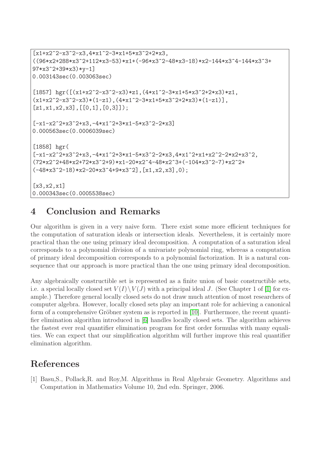```
[x1+x2^2-x3^2-x3,4*x1^2-3*x1+5*x3^2+2*x3,((96*x2+288*x3^2+112*x3-53)*x1+(-96*x3^2-48*x3-18)*x2-144*x3^4-144*x3^3+
97*x3^2+39*x3)*y-1]
0.003143sec(0.003063sec)
[1857] hgr([(x1+x2^2-x3^2-x3)*z1,(4*x1^2-3*x1+5*x3^2+2*x3)*z1,(x1+x2^2-x3^2-x3)*(1-z1),(4*x1^2-3*x1+5*x3^2+2*x3)*(1-z1),
[z1, x1, x2, x3], [[0, 1], [0, 3]];
[-x1-x2^2+x3^2+x3,-4*x1^2+3*x1-5*x3^2-2*x3]
0.000563sec(0.0006039sec)
[1858] hgr(
[-x1-x2^2+x3^2+x3,-4*x1^2+3*x1-5*x3^2-2*x3,4*x1^2+x1*x2^2-2*x2+x3^2,(72*x2^2+48*x2+72*x3^2+9)*x1-20*x2^4-48*x2^3+(-104*x3^2-7)*x2^2+
(-48*x3^2-18)*x2-20*x3^4+9*x3^2], [x1, x2, x3],0);
[x3, x2, x1]
0.000343sec(0.0005538sec)
```
# 4 Conclusion and Remarks

Our algorithm is given in a very naive form. There exist some more efficient techniques for the computation of saturation ideals or intersection ideals. Nevertheless, it is certainly more practical than the one using primary ideal decomposition. A computation of a saturation ideal corresponds to a polynomial division of a univariate polynomial ring, whereas a computation of primary ideal decomposition corresponds to a polynomial factorization. It is a natural consequence that our approach is more practical than the one using primary ideal decomposition.

Any algebraically constructible set is represented as a finite union of basic constructible sets, i.e. a special locally closed set  $V(I)\setminus V(J)$  with a principal ideal J. (See Chapter 1 of [\[1\]](#page-8-0) for example.) Therefore general locally closed sets do not draw much attention of most researchers of computer algebra. However, locally closed sets play an important role for achieving a canonical form of a comprehensive Gröbner system as is reported in  $[10]$ . Furthermore, the recent quantifier elimination algorithm introduced in [\[6\]](#page-9-1) handles locally closed sets. The algorithm achieves the fastest ever real quantifier elimination program for first order formulas with many equalities. We can expect that our simplification algorithm will further improve this real quantifier elimination algorithm.

# <span id="page-8-0"></span>References

[1] Basu,S., Pollack,R. and Roy,M. Algorithms in Real Algebraic Geometry. Algorithms and Computation in Mathematics Volume 10, 2nd edn. Springer, 2006.